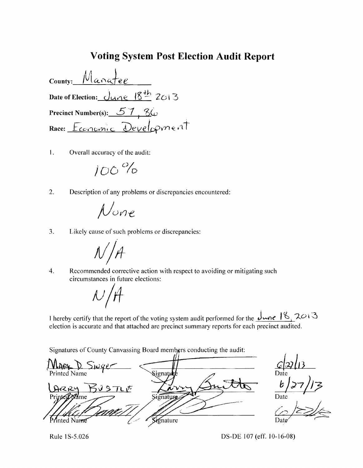## **Voting System Post Election Audit Report**

Manat County: Date of Election: <u>June 18th</u> 2013 Precinct Number(s):  $57,86$ Race: Economic Development

1. Overall accuracy of the audit:

$$
100\,\%
$$

2. Description of any problems or discrepancies encountered:

$$
\mathcal{N}_{\text{one}}
$$

 $3.$ Likely cause of such problems or discrepancies:

Recommended corrective action with respect to avoiding or mitigating such  $\overline{4}$ . circumstances in future elections:

 $\mathcal{N}_1$ 

I hereby certify that the report of the voting system audit performed for the  $\frac{\sqrt{2}}{2}$   $\frac{18}{3}$  2013 election is accurate and that attached are precinct summary reports for each precinct audited.

Signatures of County Canvassing Board members conducting the audit:

 $V \supset \omega q e$ Printed Name **Signati BUSTLE** ARRY Signaturg Printed Signature rinted Name

Date

Rule 1S-5.026

DS-DE 107 (eff. 10-16-08)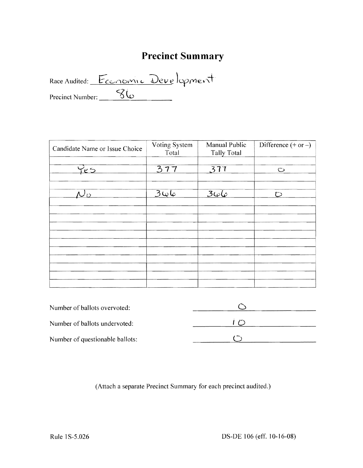# **Precinct Summary**

Precinct Number: <u>SC</u> Race Audited: Economic Development

| Candidate Name or Issue Choice | Voting System<br>Total | Manual Public<br><b>Tally Total</b> | Difference $(+ or -)$ |
|--------------------------------|------------------------|-------------------------------------|-----------------------|
| Yes                            | 377                    | 377                                 | $\circ$               |
| ้ก                             | <u>عايدات</u>          | $3\omega\omega$                     | $\overline{C}$        |
|                                |                        |                                     |                       |
|                                |                        |                                     |                       |
|                                |                        |                                     |                       |
|                                |                        |                                     |                       |

| Number of ballots overvoted:    |  |
|---------------------------------|--|
| Number of ballots undervoted:   |  |
| Number of questionable ballots: |  |

(Attach a separate Precinct Summary for each precinct audited.)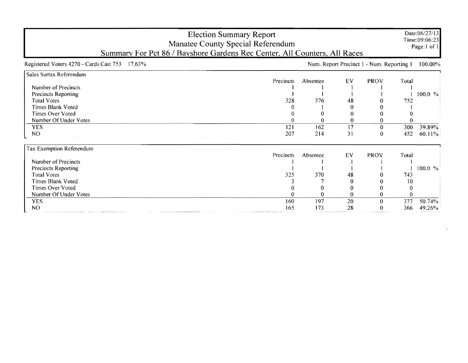| <b>Election Summary Report</b><br>Manatee County Special Referendum<br>Summary For Pct 86 / Bayshore Gardens Rec Center, All Counters, All Races |                        |          |    |                                           |       | Date:06/27/13<br>Time:09:06:23<br>Page:1 of 1 |
|--------------------------------------------------------------------------------------------------------------------------------------------------|------------------------|----------|----|-------------------------------------------|-------|-----------------------------------------------|
| Registered Voters 4270 - Cards Cast 753<br>$17.63\%$                                                                                             |                        |          |    | Num. Report Precinct 1 - Num. Reporting 1 |       | 100.00%                                       |
| Sales Surtax Referendum                                                                                                                          |                        |          |    |                                           |       |                                               |
|                                                                                                                                                  | Precincts              | Absentee | EV | <b>PROV</b>                               | Total |                                               |
| Number of Precincts                                                                                                                              |                        |          |    |                                           |       |                                               |
| <b>Precincts Reporting</b>                                                                                                                       |                        |          |    |                                           |       | 100.0 %                                       |
| <b>Total Votes</b>                                                                                                                               | 328                    | 376      | 48 |                                           | 752   |                                               |
| <b>Times Blank Voted</b>                                                                                                                         |                        |          |    |                                           |       |                                               |
| <b>Times Over Voted</b>                                                                                                                          |                        |          |    |                                           |       |                                               |
| Number Of Under Votes                                                                                                                            | 0                      |          | 0  |                                           |       |                                               |
| <b>YES</b>                                                                                                                                       | 121                    | 162      | 17 | 0                                         | 300   | 39.89%                                        |
| N <sub>O</sub><br><b>Contract</b>                                                                                                                | 207<br>and the company | 214      | 31 | $\theta$                                  | 452   | 60.11%                                        |
| Tax Exemption Referendum                                                                                                                         |                        |          |    |                                           |       |                                               |
|                                                                                                                                                  | Precincts              | Absentee | EV | <b>PROV</b>                               | Total |                                               |
| Number of Precincts                                                                                                                              |                        |          |    |                                           |       |                                               |
| Precincts Reporting                                                                                                                              |                        |          |    |                                           |       | 100.0 %                                       |
| <b>Total Votes</b>                                                                                                                               | 325                    | 370      | 48 |                                           | 743   |                                               |
| <b>Times Blank Voted</b>                                                                                                                         |                        |          |    |                                           | 10    |                                               |
| Times Over Voted                                                                                                                                 |                        |          |    |                                           |       |                                               |
| Number Of Under Votes                                                                                                                            |                        |          | 0  | 0                                         |       |                                               |
| <b>YES</b>                                                                                                                                       | 160                    | 197      | 20 | 0                                         | 377   | 50.74%                                        |
| NO.                                                                                                                                              | 165                    | 173      | 28 | Λ                                         | 366   | 49.26%                                        |

h.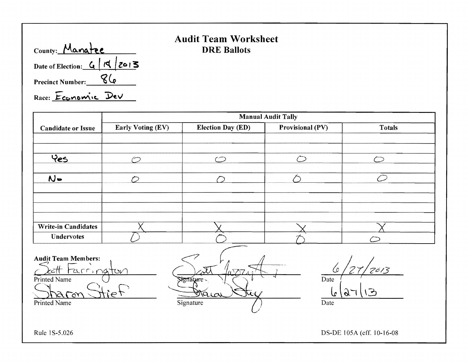| County: Manatee              |  |
|------------------------------|--|
| Date of Election: $G/d/2013$ |  |
| <b>Precinct Number:</b>      |  |
| Race: Economic Dev           |  |

# **Audit Team Worksheet**  DRE Ballots

|                            | <b>Manual Audit Tally</b> |                          |                         |           |
|----------------------------|---------------------------|--------------------------|-------------------------|-----------|
| <b>Candidate or Issue</b>  | Early Voting (EV)         | <b>Election Day (ED)</b> | <b>Provisional (PV)</b> | Totals    |
|                            |                           |                          |                         |           |
|                            |                           |                          |                         |           |
| Yes                        | $\sim$                    | $\curvearrowleft$        |                         |           |
|                            |                           |                          |                         |           |
| $N -$                      | ∕                         |                          |                         | $\subset$ |
|                            |                           |                          |                         |           |
|                            |                           |                          |                         |           |
|                            |                           |                          |                         |           |
|                            |                           |                          |                         |           |
| <b>Write-in Candidates</b> |                           |                          |                         |           |
| <b>Undervotes</b>          |                           |                          |                         |           |

Audit Team Members:

 $\frac{\text{Audit Team Members:}}{\text{Left Factorization}}$ Printed Name  $\qquad \qquad$   $\qquad \qquad$   $\qquad \qquad$   $\qquad$   $\qquad \qquad$   $\qquad$   $\qquad$   $\qquad$   $\qquad$   $\qquad$   $\qquad$   $\qquad$   $\qquad$   $\qquad$   $\qquad$   $\qquad$   $\qquad$   $\qquad$   $\qquad$   $\qquad$   $\qquad$   $\qquad$   $\qquad$   $\qquad$   $\qquad$   $\qquad$   $\qquad$   $\qquad$   $\qquad$   $\qquad$   $\qquad$   $\qquad$   $\qquad$ Signature  $\frac{\frac{\text{Left}}{\text{Printed Name}}}{\frac{\text{United Name}}{\text{State Name}}}\quad \frac{\frac{\text{start}}{\text{Argument}}}{\frac{\text{Sequence}}{\text{Square}}}\quad \frac{\frac{\text{left}}{\text{Value}}}{\text{Value}}$ Printed Name Date Signature (2008) Signature (2008) Date I

Rule 1S-5.026 DS-DE 105A (eff. 10-16-08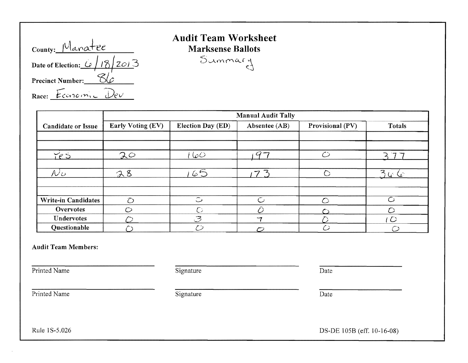| County: Manatee               |
|-------------------------------|
| Date of Election: $6/18/20/3$ |
| <b>Precinct Number:</b>       |
| Race: Economic                |

# **Audit Team Worksheet**   $Mark sense$  Ballots

 $S$ ummary

|                            | <b>Manual Audit Tally</b> |                          |                |                  |                         |
|----------------------------|---------------------------|--------------------------|----------------|------------------|-------------------------|
| <b>Candidate or Issue</b>  | Early Voting (EV)         | <b>Election Day (ED)</b> | Absentee (AB)  | Provisional (PV) | <b>Totals</b>           |
|                            |                           |                          |                |                  |                         |
|                            |                           |                          |                |                  |                         |
| Yes                        | 20                        | 160                      |                | دسم              |                         |
|                            |                           |                          |                |                  |                         |
| $\mathcal{N}$ ى            | 28                        | 65                       | $\overline{7}$ | ◠                | $3$ G $\rm{G}$          |
|                            |                           |                          |                |                  |                         |
|                            |                           |                          |                |                  |                         |
| <b>Write-in Candidates</b> | $\tau$                    | $\tilde{\smash{\cup}}$   | $\mathcal{C}$  |                  | $\overline{\mathbb{C}}$ |
| <b>Overvotes</b>           | $\curvearrowright$        | $\circ$                  |                |                  |                         |
| Undervotes                 |                           | $\mathcal{B}$            | $-7$           |                  | ' O                     |
| Questionable               |                           | ど                        |                |                  |                         |

#### Audit Team Members:

Printed Name Date Signature Date Date

Printed Name Date Signature Date Date

Rule 1S-5.026 DS-DE 105B (eff. 10-16-08)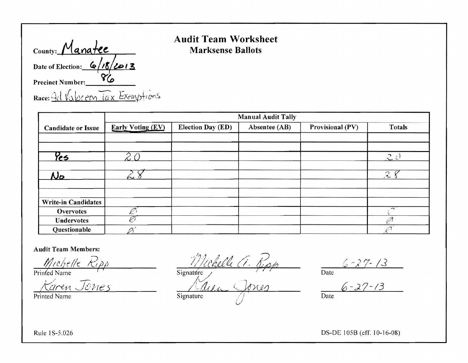| County: Manatee                 |
|---------------------------------|
| Date of Election: $6/18/2013$   |
| <b>Precinct Number:</b>         |
| Race: Ad Valorem lax Exemptions |

### **Audit Team Worksheet Marksense Ballots**

|                            | <b>Manual Audit Tally</b> |                   |               |                  |                           |
|----------------------------|---------------------------|-------------------|---------------|------------------|---------------------------|
| <b>Candidate or Issue</b>  | <b>Early Voting (EV)</b>  | Election Day (ED) | Absentee (AB) | Provisional (PV) | <b>Totals</b>             |
|                            |                           |                   |               |                  |                           |
|                            |                           |                   |               |                  |                           |
| $\frac{\mu}{2}$            |                           |                   |               |                  | $\mathcal{L}~\mathcal{C}$ |
| <u>No</u>                  | ∼                         |                   |               |                  | $\mathcal{R}$             |
|                            |                           |                   |               |                  |                           |
|                            |                           |                   |               |                  |                           |
| <b>Write-in Candidates</b> |                           |                   |               |                  |                           |
| <b>Overvotes</b>           |                           |                   |               |                  |                           |
| <b>Undervotes</b>          | Ø                         |                   |               |                  | Ø                         |
| Questionable               |                           |                   |               |                  |                           |

#### **Audit Team Members:**

Michelle Ripp<br>Printed Name<br>Karen Jones

Printed Name

Michelle Ci. Jipy  $\overline{\text{Signature}}$ Signature

Date 6 - 27 - 13

 $\overline{Date}$ 

Rule 1S-5.026

DS-DE 105B (eff. 10-16-08)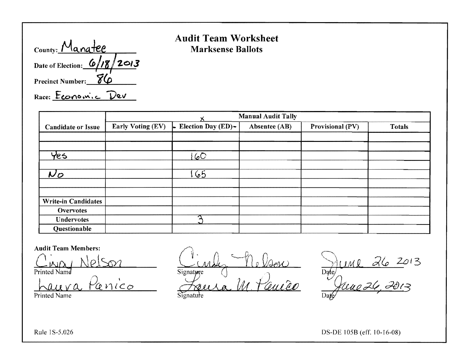| County: Manatee               |
|-------------------------------|
| Date of Election: $6/18/2013$ |
| Precinct Number: 86           |
| Race: Economic De             |

### **Audit Team Worksheet Marksense Ballots**

|                            |                   |                          | <b>Manual Audit Tally</b> |                  |               |
|----------------------------|-------------------|--------------------------|---------------------------|------------------|---------------|
| <b>Candidate or Issue</b>  | Early Voting (EV) | Election Day (ED)-<br>l. | Absentee (AB)             | Provisional (PV) | <b>Totals</b> |
|                            |                   |                          |                           |                  |               |
|                            |                   |                          |                           |                  |               |
| tes                        |                   | 60                       |                           |                  |               |
|                            |                   |                          |                           |                  |               |
| $\bm{\mathcal{N}}$ O       |                   | 65                       |                           |                  |               |
|                            |                   |                          |                           |                  |               |
|                            |                   |                          |                           |                  |               |
| <b>Write-in Candidates</b> |                   |                          |                           |                  |               |
| <b>Overvotes</b>           |                   |                          |                           |                  |               |
| Undervotes                 |                   | ╭                        |                           |                  |               |
| Questionable               |                   |                          |                           |                  |               |

#### **Audit Team Members:**

 $\Omega$ Printed Name

Panico haura

Printed Name

0 VAEN Signature autro

Signature

 $\frac{d}{d\theta}$ Dar

Rule 1S-5.026

DS-DE 105B (eff. 10-16-08)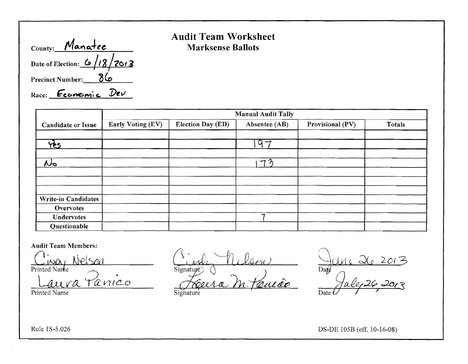| County: Manatee               |
|-------------------------------|
| Date of Election: $6/18/2013$ |
| <b>Precinct Number:</b>       |
| Race: Feomonic Dev            |

# **Audit Team Worksheet Marksense Ballots**

|                            | <b>Manual Audit Tally</b> |                          |               |                  |               |  |  |
|----------------------------|---------------------------|--------------------------|---------------|------------------|---------------|--|--|
| <b>Candidate or Issue</b>  | Early Voting (EV)         | <b>Election Day (ED)</b> | Absentee (AB) | Provisional (PV) | <b>Totals</b> |  |  |
|                            |                           |                          |               |                  |               |  |  |
| <u>yis</u>                 |                           |                          | .97           |                  |               |  |  |
|                            |                           |                          |               |                  |               |  |  |
| No                         |                           |                          | $7\bar{2}$    |                  |               |  |  |
|                            |                           |                          |               |                  |               |  |  |
|                            |                           |                          |               |                  |               |  |  |
| <b>Write-in Candidates</b> |                           |                          |               |                  |               |  |  |
| <b>Overvotes</b>           |                           |                          |               |                  |               |  |  |
| <b>Undervotes</b>          |                           |                          |               |                  |               |  |  |
| Questionable               |                           |                          |               |                  |               |  |  |

Audit Team Members:

<u>Cinoy</u> <u>Nelson</u>  $\alpha$ nico

Printed Name

*1\* - *<sup>r</sup>*\. *-PI]* {L l '( ~L., -- V~/}( *)*  Férera M. Pauca

 $\bigcap$  $\mu_1 ~ \lambda_0 ~ 201$ 3  $Da\ell$ ffr4'~ *.201.:S*  Date

**Signature** 

DS-DE 10SB (eff. 10-16-08)

Rule 1S-S.026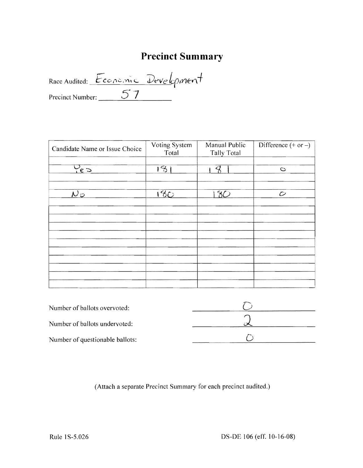# **Precinct Summary**

Race Audited: Economic Development

| Candidate Name or Issue Choice   | Voting System<br>Total | Manual Public<br><b>Tally Total</b> | Difference $(+ or -)$ |
|----------------------------------|------------------------|-------------------------------------|-----------------------|
|                                  |                        |                                     |                       |
| $\frac{5}{162}$                  | $\overline{151}$       |                                     | $\circ$               |
|                                  |                        |                                     |                       |
| $\overline{\mathcal{N}}$ $\circ$ | 180                    | 30                                  | $\mathcal{O}$         |
|                                  |                        |                                     |                       |
|                                  |                        |                                     |                       |
|                                  |                        |                                     |                       |
|                                  |                        |                                     |                       |
|                                  |                        |                                     |                       |
|                                  |                        |                                     |                       |
|                                  |                        |                                     |                       |
|                                  |                        |                                     |                       |
|                                  |                        |                                     |                       |
|                                  |                        |                                     |                       |

| Number of ballots overvoted:    |  |
|---------------------------------|--|
| Number of ballots undervoted:   |  |
| Number of questionable ballots: |  |

(Attach a separate Precinct Summary for each precinct audited.)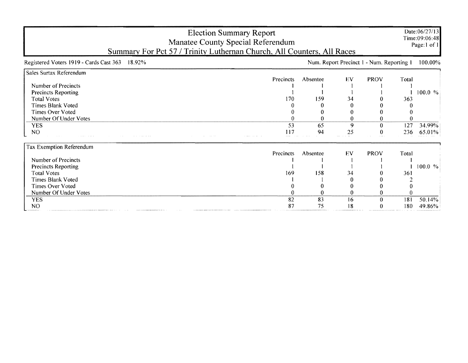| <b>Election Summary Report</b><br>Manatee County Special Referendum<br>Summary For Pct 57 / Trinity Luthernan Church, All Counters, All Races |           |          |    |                                           |       | Date:06/27/13<br>Time:09:06:48<br>Page:1 of 1 |
|-----------------------------------------------------------------------------------------------------------------------------------------------|-----------|----------|----|-------------------------------------------|-------|-----------------------------------------------|
| Registered Voters 1919 - Cards Cast 363<br>18.92%                                                                                             |           |          |    | Num. Report Precinct 1 - Num. Reporting 1 |       | 100.00%                                       |
| Sales Surtax Referendum                                                                                                                       |           |          |    |                                           |       |                                               |
|                                                                                                                                               | Precincts | Absentee | EV | <b>PROV</b>                               | Total |                                               |
| Number of Precincts                                                                                                                           |           |          |    |                                           |       |                                               |
| Precincts Reporting                                                                                                                           |           |          |    |                                           |       | 100.0 %                                       |
| <b>Total Votes</b>                                                                                                                            | 170       | 159      | 34 |                                           | 363   |                                               |
| <b>Times Blank Voted</b>                                                                                                                      |           |          |    |                                           |       |                                               |
| Times Over Voted                                                                                                                              |           |          |    |                                           |       |                                               |
| Number Of Under Votes                                                                                                                         |           |          | 0  |                                           |       |                                               |
| <b>YES</b>                                                                                                                                    | 53        | 65       | 9  |                                           | 127   | 34.99%                                        |
| N <sub>O</sub>                                                                                                                                | 117       | 94       | 25 | 0                                         | 236   | 65.01%                                        |
| Tax Exemption Referendum                                                                                                                      |           |          |    |                                           |       |                                               |
|                                                                                                                                               | Precincts | Absentee | EV | <b>PROV</b>                               | Total |                                               |
| Number of Precincts                                                                                                                           |           |          |    |                                           |       |                                               |
| <b>Precincts Reporting</b>                                                                                                                    |           |          |    |                                           |       | 100.0 %                                       |
| <b>Total Votes</b>                                                                                                                            | 169       | 158      | 34 |                                           | 361   |                                               |
| <b>Times Blank Voted</b>                                                                                                                      |           |          |    |                                           |       |                                               |
| <b>Times Over Voted</b>                                                                                                                       |           |          |    |                                           |       |                                               |
| Number Of Under Votes                                                                                                                         |           |          |    |                                           |       |                                               |
| <b>YES</b>                                                                                                                                    | 82        | 83       | 16 | 0                                         | 181   | 50.14%                                        |
| NO <sub>1</sub>                                                                                                                               | 87        | 75       | 18 |                                           | 180   | 49.86%                                        |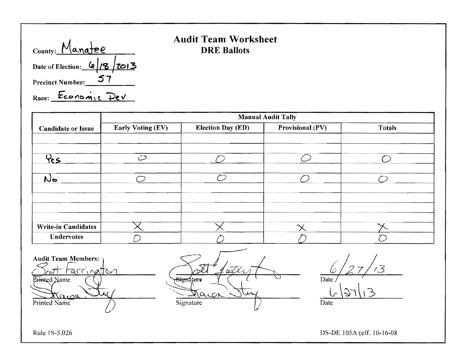| County: Manatee                                  |  |  |
|--------------------------------------------------|--|--|
| Date of Election: $\frac{6}{3}$ $\frac{2013}{3}$ |  |  |
| <b>Precinct Number:</b>                          |  |  |
| Race: Economic De                                |  |  |

# Audit Team Worksheet DRE Ballots

|                            | <b>Manual Audit Tally</b> |                          |                  |               |  |  |  |
|----------------------------|---------------------------|--------------------------|------------------|---------------|--|--|--|
| <b>Candidate or Issue</b>  | Early Voting (EV)         | <b>Election Day (ED)</b> | Provisional (PV) | <b>Totals</b> |  |  |  |
|                            |                           |                          |                  |               |  |  |  |
|                            |                           |                          |                  |               |  |  |  |
| Yes                        | $\mathcal{O}$             |                          |                  |               |  |  |  |
|                            |                           |                          |                  |               |  |  |  |
| No.                        |                           |                          |                  |               |  |  |  |
|                            |                           |                          |                  |               |  |  |  |
|                            |                           |                          |                  |               |  |  |  |
|                            |                           |                          |                  |               |  |  |  |
|                            |                           |                          |                  |               |  |  |  |
| <b>Write-in Candidates</b> |                           |                          |                  |               |  |  |  |
| <b>Undervotes</b>          |                           |                          |                  |               |  |  |  |

**Audit Team Members:** tarrinatton Printed Name െ വി Printed Name

rA  $\omega\lambda$ Signature Maccin Signature

 $\frac{6}{27}/3$  $\frac{L}{\text{Date}}$  \37\\13

Rule 1 S-5.026 DS-DE 105A (eff. 10-16-08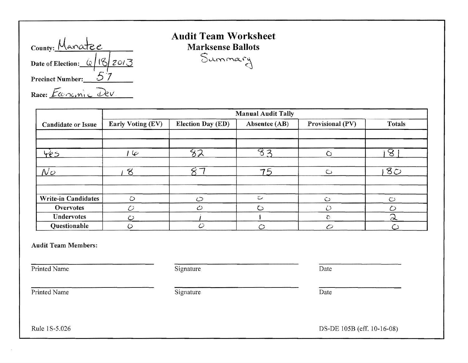| County: Manatee                         |
|-----------------------------------------|
| Date of Election: $\frac{1}{2}$ 18 2013 |
| <b>Precinct Number:</b>                 |
| Race: Economic Dev.                     |

# **Audit Team Worksheet**   $Mark sense$  Ballots  $S$ *ammary*

|                            | <b>Manual Audit Tally</b> |                          |               |                  |                 |  |
|----------------------------|---------------------------|--------------------------|---------------|------------------|-----------------|--|
| <b>Candidate or Issue</b>  | Early Voting (EV)         | <b>Election Day (ED)</b> | Absentee (AB) | Provisional (PV) | Totals          |  |
|                            |                           |                          |               |                  |                 |  |
|                            |                           |                          |               |                  |                 |  |
| 4e5                        | حها ا                     | 82                       | 82            | Ō                | $8\overline{8}$ |  |
|                            |                           |                          |               |                  |                 |  |
| $N_{\mathcal{O}}$          | $\infty$                  |                          | 75            | $\circ$          | $8\overline{O}$ |  |
|                            |                           |                          |               |                  |                 |  |
|                            |                           |                          |               |                  |                 |  |
| <b>Write-in Candidates</b> | $\circ$                   | $\circ$                  | ت             | $\circ$          | $\circ$         |  |
| Overvotes                  | $\mathcal O$              | $\mathcal{O}$            | $\circ$       | D                | Ō               |  |
| Undervotes                 | $\mathcal{O}$             |                          |               | $\hat{c}$        | $\mathcal{D}$   |  |
| Questionable               | ٥                         | $\mathcal{O}$            |               | $\mathcal{O}$    |                 |  |

#### Audit Team Members:

Printed Name Date Date Signature Date

Printed Name Date Signature Date Date

Rule 1S-5.026 DS-DE 105B (eff. 10-16-08)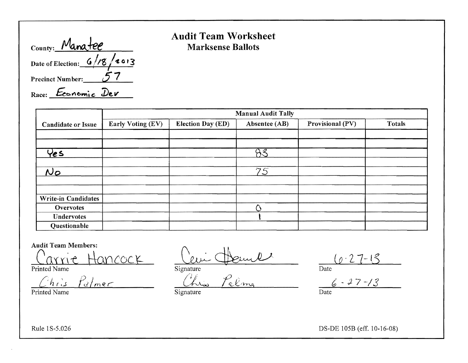| County: Manatee               |  |
|-------------------------------|--|
| Date of Election: $6/18/2013$ |  |
| <b>Precinct Number:</b>       |  |
| Race: Economic Dev            |  |

### Audit Team Worksheet Marksense Ballots

|                           | <b>Manual Audit Tally</b> |                          |               |                  |               |  |  |
|---------------------------|---------------------------|--------------------------|---------------|------------------|---------------|--|--|
| <b>Candidate or Issue</b> | Early Voting (EV)         | <b>Election Day (ED)</b> | Absentee (AB) | Provisional (PV) | <b>Totals</b> |  |  |
|                           |                           |                          |               |                  |               |  |  |
|                           |                           |                          |               |                  |               |  |  |
| Yes                       |                           |                          | 83            |                  |               |  |  |
|                           |                           |                          |               |                  |               |  |  |
| $N_{\mathcal{O}}$         |                           |                          | 75            |                  |               |  |  |
|                           |                           |                          |               |                  |               |  |  |
|                           |                           |                          |               |                  |               |  |  |
| Write-in Candidates       |                           |                          |               |                  |               |  |  |
| Overvotes                 |                           |                          |               |                  |               |  |  |
| <b>Undervotes</b>         |                           |                          |               |                  |               |  |  |
| Questionable              |                           |                          |               |                  |               |  |  |

Audit Team Members:

Carrie Hancock

Printed Name

*h*(\ *fc?/mer* 

Printed Name

Cevi Henne

Signature Chris Pelma

 $27 - 18$ 

Date

 $6 - 27 - 13$ 

**Signature** 

Date

Rule 1S-5.026

DS-DE lOSB (eff. 10-16-08)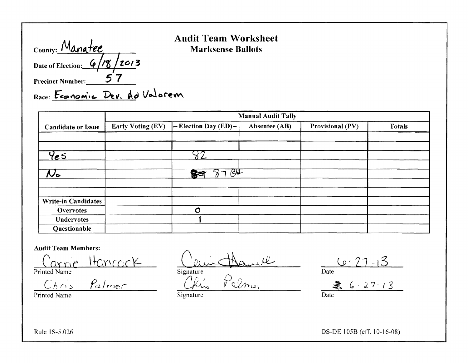| County: Manatee               |  |
|-------------------------------|--|
| Date of Election: $6/78/2013$ |  |
| <b>Precinct Number:</b>       |  |

### **Audit Team Worksheet Marksense Ballots**

Race: Feonomic Dev. Ad Valorem

|                            | <b>Manual Audit Tally</b> |                                               |               |                  |               |  |  |
|----------------------------|---------------------------|-----------------------------------------------|---------------|------------------|---------------|--|--|
| <b>Candidate or Issue</b>  | <b>Early Voting (EV)</b>  | $\left  - \text{Election Day (ED)} - \right $ | Absentee (AB) | Provisional (PV) | <b>Totals</b> |  |  |
|                            |                           |                                               |               |                  |               |  |  |
|                            |                           |                                               |               |                  |               |  |  |
| <u>Yes</u>                 |                           |                                               |               |                  |               |  |  |
|                            |                           | $\overline{G}$                                |               |                  |               |  |  |
| ん。                         |                           | 63                                            |               |                  |               |  |  |
|                            |                           |                                               |               |                  |               |  |  |
| <b>Write-in Candidates</b> |                           |                                               |               |                  |               |  |  |
| <b>Overvotes</b>           |                           | $\circ$                                       |               |                  |               |  |  |
| <b>Undervotes</b>          |                           |                                               |               |                  |               |  |  |
| Questionable               |                           |                                               |               |                  |               |  |  |

#### **Audit Team Members:**

Carrie Hancock Printed Name

Printed Name

Jamel

Signature

Pelmer Chris

 $6.27 - 13$ 

 $\frac{8}{\text{Date}}$  6 - 27 - 13

Signature

DS-DE 105B (eff. 10-16-08)

Rule 1S-5.026